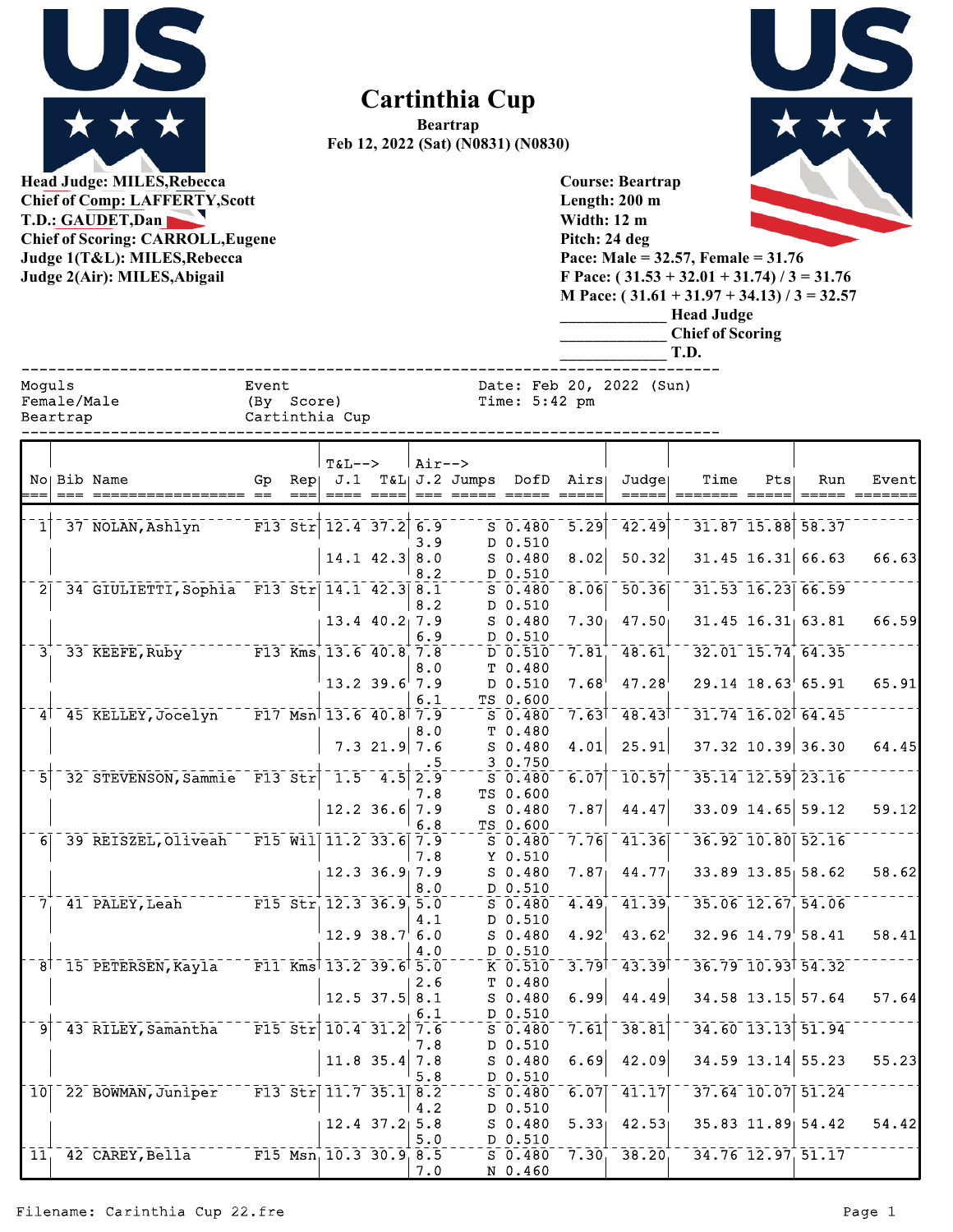

## **Cartinthia Cup**

**Beartrap Feb 12, 2022 (Sat) (N0831) (N0830)**

**Course: Beartrap**



**Head Judge: MILES,Rebecca Chief of Comp: LAFFERTY,Scott T.D.: G Chief of Judge 1 Judge 2** 

| <b>Chief of Comp: LAFFERTY, Scott</b><br>T.D.: GAUDET, Dan<br><b>Chief of Scoring: CARROLL, Eugene</b><br>Judge 1(T&L): MILES, Rebecca<br>Judge 2(Air): MILES, Abigail |                                   |                                                                                                  |                                       |     |          |                           |            |                       |                       |                   | Length: 200 m<br>Width: 12 m<br>Pitch: 24 deg<br>Pace: Male = $32.57$ , Female = $31.76$<br>F Pace: $(31.53 + 32.01 + 31.74) / 3 = 31.76$<br>M Pace: $(31.61 + 31.97 + 34.13) / 3 = 32.57$<br><b>Head Judge</b><br><b>Chief of Scoring</b><br>T.D. |                                                                                 |     |                         |       |  |  |  |
|------------------------------------------------------------------------------------------------------------------------------------------------------------------------|-----------------------------------|--------------------------------------------------------------------------------------------------|---------------------------------------|-----|----------|---------------------------|------------|-----------------------|-----------------------|-------------------|----------------------------------------------------------------------------------------------------------------------------------------------------------------------------------------------------------------------------------------------------|---------------------------------------------------------------------------------|-----|-------------------------|-------|--|--|--|
|                                                                                                                                                                        | Moquls<br>Female/Male<br>Beartrap |                                                                                                  | Event<br>(By Score)<br>Cartinthia Cup |     |          |                           |            |                       | Time: $5:42$ pm       |                   | Date: Feb 20, 2022 (Sun)                                                                                                                                                                                                                           |                                                                                 |     |                         |       |  |  |  |
|                                                                                                                                                                        |                                   | No Bib Name                                                                                      | Gp                                    | Rep | $T&L-->$ |                           | $Air--$    | $J.1$ T&L $J.2$ Jumps |                       | DofD Airs         | Judge                                                                                                                                                                                                                                              | Time                                                                            | Pts | Run                     | Event |  |  |  |
| 1                                                                                                                                                                      |                                   | 37 NOLAN, Ashlyn                                                                                 |                                       |     |          | $F13$ Str $12.4$ 37.2     | 6.9<br>3.9 |                       | $S_0.480$<br>D 0.510  | $\overline{5.29}$ | 42.49                                                                                                                                                                                                                                              |                                                                                 |     | $31.87$ $15.88$ $58.37$ |       |  |  |  |
|                                                                                                                                                                        |                                   |                                                                                                  |                                       |     |          | $14.1$ 42.3               | 8.0<br>8.2 |                       | $S_0.480$<br>D 0.510  | 8.02              | 50.32                                                                                                                                                                                                                                              |                                                                                 |     | $31.45$ 16.31 66.63     | 66.63 |  |  |  |
| $\overline{2}$                                                                                                                                                         |                                   | 34 GIULIETTI, Sophia F13 Str 14.1 42.3 8.1                                                       |                                       |     |          |                           | 8.2        |                       | $S$ 0.480<br>D 0.510  | 8.06              | 50.36                                                                                                                                                                                                                                              |                                                                                 |     | $31.53$ $16.23$ 66.59   |       |  |  |  |
|                                                                                                                                                                        |                                   |                                                                                                  |                                       |     |          | $13.4$ $40.2$ 7.9         | 6.9        |                       | $S_0.480$<br>D 0.510  | $7.30_1$          | 47.50                                                                                                                                                                                                                                              |                                                                                 |     | $31.45$ $16.31$ $63.81$ | 66.59 |  |  |  |
| 3 <sub>1</sub>                                                                                                                                                         |                                   | 33 KEEFE, Ruby                                                                                   |                                       |     |          | $F13$ Kms $13.6$ 40.8 7.8 | 8.0        |                       | $D$ 0.510<br>T 0.480  | 7.81              | 48.61                                                                                                                                                                                                                                              |                                                                                 |     | 32.01 15.74 64.35       |       |  |  |  |
|                                                                                                                                                                        |                                   |                                                                                                  |                                       |     |          | $13.2$ 39.6 7.9           | 6.1        |                       | D 0.510<br>TS 0.600   | $7.68^{\circ}$    | 47.28                                                                                                                                                                                                                                              |                                                                                 |     | $29.14$ 18.63 65.91     | 65.91 |  |  |  |
|                                                                                                                                                                        |                                   | 4 <sup>1</sup> 45 KELLEY, Jocelyn                                                                | F17 Msn 13.6 40.8 7.9                 |     |          |                           | 8.0        |                       | $S$ 0.480<br>T 0.480  | 7.63              | $-48.43$                                                                                                                                                                                                                                           |                                                                                 |     | 31.74 16.02 64.45       |       |  |  |  |
|                                                                                                                                                                        |                                   |                                                                                                  |                                       |     |          | $7.3$ 21.9                | 7.6<br>. 5 |                       | $S_0.480$<br>3 0.750  | 4.01              | 25.91                                                                                                                                                                                                                                              |                                                                                 |     | 37.32 10.39 36.30       | 64.45 |  |  |  |
| 5                                                                                                                                                                      |                                   | 32 STEVENSON, Sammie F13 Str                                                                     |                                       |     |          | $1.5 - 4.5$               | 2.9<br>7.8 |                       | $S$ 0.480<br>TS 0.600 | 6.07              | 10.57                                                                                                                                                                                                                                              |                                                                                 |     | $35.14$ $12.59$ $23.16$ |       |  |  |  |
|                                                                                                                                                                        |                                   |                                                                                                  |                                       |     |          | $12.2$ 36.6 7.9           | 6.8        |                       | $S_0.480$<br>TS 0.600 | 7.87              | 44.47                                                                                                                                                                                                                                              |                                                                                 |     | 33.09 14.65 59.12       | 59.12 |  |  |  |
| 6 <sup>1</sup>                                                                                                                                                         |                                   | 39 REISZEL, Oliveah                                                                              |                                       |     |          | $F15$ Will $11.2$ 33.6    | 7.9<br>7.8 |                       | $S$ 0.480<br>Y 0.510  | 7.76              | 41.36                                                                                                                                                                                                                                              |                                                                                 |     | 36.92 10.80 52.16       |       |  |  |  |
|                                                                                                                                                                        |                                   |                                                                                                  |                                       |     |          | $12.3$ $36.9$ 7.9         |            |                       | $S_0.480$             | 7.87              | 44.77                                                                                                                                                                                                                                              |                                                                                 |     | 33.89 13.85 58.62       | 58.62 |  |  |  |
|                                                                                                                                                                        |                                   | $7^{+}_{1}$ 41 PALEY, Leah F15 Str 12.3 36.9 5.0                                                 |                                       |     |          |                           | 8.0        |                       | D 0.510<br>$S_0.480$  | 4.49              | 41.39                                                                                                                                                                                                                                              |                                                                                 |     | 35.06 12.67 54.06       |       |  |  |  |
|                                                                                                                                                                        |                                   |                                                                                                  |                                       |     |          | 12.9 38.7 6.0             | 4.1        |                       | D 0.510<br>S 0.480    | 4.92              | 43.62                                                                                                                                                                                                                                              | $32.96$ $14.79$ 58.41                                                           |     |                         | 58.41 |  |  |  |
|                                                                                                                                                                        |                                   | 8 <sup>1</sup> 15 PETERSEN, Kayla <sup>---</sup> F11 Kms <sup>1</sup> 13.2 39.6 <sup>1</sup> 5.0 |                                       |     |          |                           | 4.0        |                       | D 0.510<br>$K$ 0.510  |                   |                                                                                                                                                                                                                                                    | $3.79$ <sup>1</sup> $43.39$ <sup>1 -</sup> $36.79$ $10.93$ <sup>1</sup> $54.32$ |     |                         |       |  |  |  |
|                                                                                                                                                                        |                                   |                                                                                                  |                                       |     |          | $12.5$ 37.5 8.1           | 2.6        |                       | T 0.480<br>S 0.480    | 6.99              | 44.49                                                                                                                                                                                                                                              |                                                                                 |     | 34.58 13.15 57.64       | 57.64 |  |  |  |
| 9                                                                                                                                                                      |                                   | 43 RILEY, Samantha                                                                               | $-$ F15 Str 10.4 31.2 7.6             |     |          |                           | 6.1        |                       | $D_0.510$<br>S 0.480  | 7.61              |                                                                                                                                                                                                                                                    | $38.81$ <sup>-34.60</sup> 13.13 51.94                                           |     |                         |       |  |  |  |
|                                                                                                                                                                        |                                   |                                                                                                  |                                       |     |          | $11.8$ 35.4               | 7.8<br>7.8 |                       | D 0.510<br>S 0.480    | 6.69              | 42.09                                                                                                                                                                                                                                              |                                                                                 |     | 34.59 13.14 55.23       | 55.23 |  |  |  |
|                                                                                                                                                                        |                                   | 10 22 BOWMAN, Juniper F13 Str 11.7 35.1 8.2                                                      |                                       |     |          |                           | 5.8        |                       | D 0.510<br>$S$ 0.480  | 6.07              | 41.17                                                                                                                                                                                                                                              |                                                                                 |     | 37.64 10.07 51.24       |       |  |  |  |
|                                                                                                                                                                        |                                   |                                                                                                  |                                       |     |          | $12.4$ 37.2 5.8           | 4.2        |                       | D 0.510<br>S 0.480    |                   |                                                                                                                                                                                                                                                    | $5.33$ 42.53 35.83 11.89 54.42                                                  |     |                         | 54.42 |  |  |  |
| 11 <sub>1</sub>                                                                                                                                                        |                                   | 42 CAREY, Bella                                                                                  | $F15$ Msn, 10.3 30.9, 8.5             |     |          |                           | 5.0<br>7.0 |                       | D 0.510<br>N 0.460    |                   |                                                                                                                                                                                                                                                    | $5\overline{0.480}$ 7.30, 38.20, 34.76 12.97, 51.17                             |     |                         |       |  |  |  |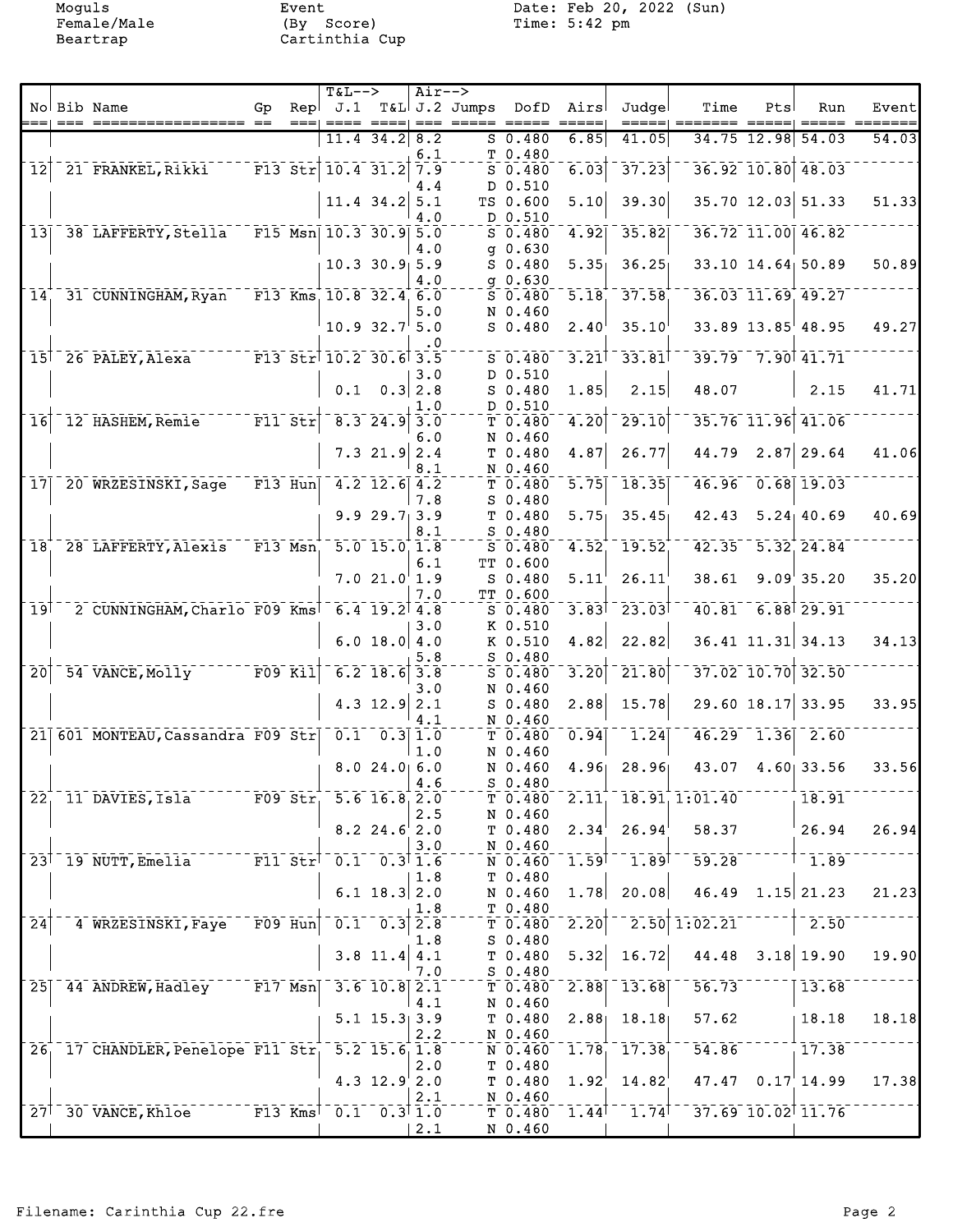Moguls Event Event Date: Feb 20, 2022 (Sun)<br>Female/Male (By Score) Time: 5:42 pm

|                 |                                                                               |                                    |      | $T&L-->$                                 |                                                    | $Air--$ |                                                  |                          |                     |                                                        |                                         |     |                                      |       |
|-----------------|-------------------------------------------------------------------------------|------------------------------------|------|------------------------------------------|----------------------------------------------------|---------|--------------------------------------------------|--------------------------|---------------------|--------------------------------------------------------|-----------------------------------------|-----|--------------------------------------|-------|
|                 | No Bib Name                                                                   | Gp                                 | $==$ | $Repl$ $J.1$<br>$== == =$                |                                                    |         | T&L J.2 Jumps DofD Airs<br>====  === ===== ===== |                          |                     | Judgel<br>=====                                        | Time                                    | Pts | Run                                  | Event |
|                 |                                                                               |                                    |      |                                          | $11.4$ 34.2 8.2                                    |         |                                                  | $S$ 0.480                | 6.85                | 41.05                                                  |                                         |     | 34.75 12.98 54.03                    | 54.03 |
|                 |                                                                               |                                    |      |                                          |                                                    | 6.1     |                                                  | T 0.480                  |                     |                                                        |                                         |     |                                      |       |
| $\overline{12}$ | 21 FRANKEL, Rikki                                                             |                                    |      | $F13$ Str $10.4$ 31.2                    |                                                    | 7.9     |                                                  | $S$ 0.480                | 6.03                | 37.23                                                  |                                         |     | 36.92 10.80 48.03                    |       |
|                 |                                                                               |                                    |      |                                          |                                                    | 4.4     |                                                  | D 0.510                  |                     |                                                        |                                         |     |                                      |       |
|                 |                                                                               |                                    |      |                                          | $11.4$ 34.2 5.1                                    | 4.0     |                                                  | TS 0.600<br>D 0.510      | 5.10                | 39.30                                                  |                                         |     | 35.70 12.03 51.33                    | 51.33 |
| 13              | 38 LAFFERTY, Stella                                                           |                                    |      | $F15$ Msn $10.3$ 30.9 5.0                |                                                    |         |                                                  | $S$ 0.480                | 4.92                | 35.82                                                  |                                         |     | 36.72 11.00 46.82                    |       |
|                 |                                                                               |                                    |      |                                          |                                                    | 4.0     |                                                  | $q$ 0.630                |                     |                                                        |                                         |     |                                      |       |
|                 |                                                                               |                                    |      |                                          | $10.3$ 30.9 5.9                                    |         |                                                  | $S_0.480$                | 5.35                | 36.25                                                  |                                         |     | 33.10 14.64 50.89                    | 50.89 |
|                 |                                                                               |                                    |      |                                          |                                                    | 4.0     |                                                  | $g$ 0.630                |                     |                                                        |                                         |     |                                      |       |
| 14              | 31 CUNNINGHAM, Ryan                                                           |                                    |      | $F13$ Kms $10.8$ 32.4 6.0                |                                                    |         |                                                  | $S$ 0.480                | $\overline{5.18}$   | 37.58                                                  |                                         |     | 36.03 11.69 49.27                    |       |
|                 |                                                                               |                                    |      |                                          | $10.9 32.7$ 5.0                                    | 5.0     |                                                  | N 0.460<br>$S$ 0.480     | 2.40 <sup>1</sup>   | 35.10                                                  |                                         |     | $33.89$ $13.85$ <sup>1</sup> $48.95$ | 49.27 |
|                 |                                                                               |                                    |      |                                          |                                                    | . 0     |                                                  |                          |                     |                                                        |                                         |     |                                      |       |
|                 | $F13$ $Str$ <sup>10.2</sup> 30.6 <sup>1</sup> 3.5<br>$15†$ 26 PALEY, Alexa    |                                    |      |                                          |                                                    |         |                                                  | $S_0.480$                | 3.21                | $-33.81$                                               |                                         |     | 39.79 7.90 41.71                     |       |
|                 |                                                                               |                                    |      |                                          |                                                    | 3.0     |                                                  | D 0.510                  |                     |                                                        |                                         |     |                                      |       |
|                 |                                                                               |                                    |      |                                          | $0.1 \quad 0.3   2.8$                              |         |                                                  | $S$ 0.480                | 1.85                | 2.15                                                   | 48.07                                   |     | 2.15                                 | 41.71 |
| $\overline{16}$ | 12 HASHEM, Remie                                                              | $F11$ Str                          |      |                                          | $8.3$ 24.9 3.0                                     | 1.0     |                                                  | D 0.510<br>T0.480        | 4.20                | 29.10                                                  |                                         |     | 35.76 11.96 41.06                    |       |
|                 |                                                                               |                                    |      |                                          |                                                    | 6.0     |                                                  | N 0.460                  |                     |                                                        |                                         |     |                                      |       |
|                 |                                                                               |                                    |      |                                          | $7.3$ 21.9 2.4                                     |         |                                                  | T <sub>0.480</sub>       | 4.87                | 26.77                                                  | 44.79                                   |     | $2.87$ 29.64                         | 41.06 |
|                 |                                                                               |                                    |      |                                          |                                                    | 8.1     |                                                  | N 0.460                  |                     |                                                        |                                         |     |                                      |       |
| 17 <sup>1</sup> | 20 WRZESINSKI, Sage                                                           |                                    |      | $F13$ Hun 4.2 12.6 4.2                   |                                                    |         |                                                  | T <sub>0.480</sub>       | $\overline{5.75}$   | 18.35                                                  |                                         |     | 46.96 0.68 19.03                     |       |
|                 |                                                                               |                                    |      |                                          |                                                    | 7.8     |                                                  | $S$ 0.480                |                     |                                                        |                                         |     |                                      |       |
|                 |                                                                               |                                    |      |                                          | 9.929.713.9                                        | 8.1     |                                                  | T 0.480<br>$S$ 0.480     | 5.75                | 35.45                                                  | 42.43                                   |     | $5.24$ 40.69                         | 40.69 |
| $\overline{18}$ | 28 LAFFERTY, Alexis                                                           | $ \overline{F13}$ $\overline{Msn}$ |      |                                          | $5.0$ 15.0 1.8                                     |         |                                                  | $S$ 0.480                | 4.52                | 19.52                                                  |                                         |     | $42.35 - 5.32$ , 24.84               |       |
|                 |                                                                               |                                    |      |                                          |                                                    | 6.1     |                                                  | TT 0.600                 |                     |                                                        |                                         |     |                                      |       |
|                 |                                                                               |                                    |      |                                          | 7.021.011.9                                        |         |                                                  | $S$ 0.480                | 5.11 <sup>1</sup>   | 26.11                                                  | 38.61                                   |     | 9.09'35.20                           | 35.20 |
|                 |                                                                               |                                    |      |                                          |                                                    | 7.0     |                                                  | TT 0.600                 |                     |                                                        |                                         |     |                                      |       |
| 19              | 2 CUNNINGHAM, Charlo F09 Kms                                                  |                                    |      |                                          | $6.4$ 19.2 4.8                                     | 3.0     |                                                  | $S_0.480$<br>K 0.510     | $3.83$ <sup>T</sup> | $-23.031$                                              |                                         |     | $40.81 - 6.88$ <sup>1</sup> 29.91    |       |
|                 |                                                                               |                                    |      |                                          | 6.0 18.0   4.0                                     |         |                                                  | K 0.510                  | 4.82                | 22.82                                                  |                                         |     | 36.41 11.31 34.13                    | 34.13 |
|                 |                                                                               |                                    |      |                                          |                                                    | 5.8     |                                                  | $S_0.480$                |                     |                                                        |                                         |     |                                      |       |
| $\overline{20}$ | 54 VANCE, Molly F09 Kil                                                       |                                    |      |                                          | $6.2$ 18.6 3.8                                     |         |                                                  | $S$ 0.480                | 3.20                | 21.80                                                  |                                         |     | 37.02 10.70 32.50                    |       |
|                 |                                                                               |                                    |      |                                          |                                                    | 3.0     |                                                  | N 0.460                  |                     |                                                        |                                         |     |                                      |       |
|                 |                                                                               |                                    |      |                                          | 4.3 $12.9$ 2.1                                     | 4.1     |                                                  | $S$ 0.480<br>N 0.460     | 2.88                | 15.78                                                  |                                         |     | 29.60 18.17 33.95                    | 33.95 |
|                 | 21 601 MONTEAU, Cassandra F09 Str 0.1 0.3 1.0                                 |                                    |      |                                          |                                                    |         |                                                  | T 0.480                  | 0.94                | 1.24                                                   |                                         |     | $46.29 - 1.36 - 2.60$                |       |
|                 |                                                                               |                                    |      |                                          |                                                    | 1.0     |                                                  | N 0.460                  |                     |                                                        |                                         |     |                                      |       |
|                 |                                                                               |                                    |      |                                          | 8.024.06.0                                         |         |                                                  | N 0.460                  | 4.96                | 28.96                                                  | 43.07                                   |     | $4.60$ 33.56                         | 33.56 |
|                 |                                                                               |                                    |      |                                          |                                                    | 4.6     |                                                  | $S_0.480$                |                     |                                                        |                                         |     |                                      |       |
|                 | $22^{+}_{1}$ 11 DAVIES, Isla $709$ Str <sup>1</sup> 5.6 16.8 <sup>1</sup> 2.0 |                                    |      |                                          |                                                    |         |                                                  |                          |                     |                                                        | $\overline{T}$ 0.480 2.11 18.91 1:01.40 |     | 18.91                                |       |
|                 |                                                                               |                                    |      |                                          | $8.2$ 24.6 2.0                                     | 2.5     |                                                  | N 0.460                  |                     | $T$ 0.480 2.34 26.94                                   | 58.37                                   |     | 26.94                                | 26.94 |
|                 |                                                                               |                                    |      |                                          |                                                    | 3.0     |                                                  | N 0.460                  |                     |                                                        |                                         |     |                                      |       |
|                 | 23 <sup>1</sup> 19 NUTT, Emelia                                               |                                    |      | $F11 \text{ Str}^{-}0.1 \text{ }0.311.6$ |                                                    |         |                                                  |                          |                     | $^-$ N 0.460 $^-$ 1.59 $^\dagger$ $^-$ 1.89 $^\dagger$ | $-59.28$                                |     | $1 - 1.89$                           |       |
|                 |                                                                               |                                    |      |                                          |                                                    | 1.8     |                                                  | T <sub>0.480</sub>       |                     |                                                        |                                         |     |                                      |       |
|                 |                                                                               |                                    |      |                                          | 6.1 $18.3$ 2.0                                     |         |                                                  | N 0.460 1.78             |                     | 20.08                                                  |                                         |     | $46.49$ 1.15 21.23                   | 21.23 |
| $\overline{24}$ | 4 WRZESINSKI, Faye                                                            | $\bar{F}09$ $\bar{H}un$            |      |                                          | $\overline{0.1}$ $\overline{0.3}$ $\overline{2.8}$ | 1.8     |                                                  | $T_{0.480}$<br>$T$ 0.480 | $\overline{2.20}$   | 2.50                                                   | 1:02.21                                 |     | 2.50                                 |       |
|                 |                                                                               |                                    |      |                                          |                                                    | 1.8     |                                                  | $S$ 0.480                |                     |                                                        |                                         |     |                                      |       |
|                 |                                                                               |                                    |      |                                          | $3.8$ 11.4 4.1                                     |         |                                                  | T 0.480                  | 5.32                | 16.72                                                  | 44.48                                   |     | 3.18 19.90                           | 19.90 |
|                 |                                                                               |                                    |      |                                          |                                                    | 7.0     |                                                  | $S$ 0.480                |                     |                                                        |                                         |     |                                      |       |
| 25              | 44 ANDREW, Hadley F17 Msn                                                     |                                    |      |                                          | $3.6$ 10.8 $2.1$                                   |         |                                                  | $T$ 0.480                | 2.88                | $\sqrt{13.68}$                                         | 56.73                                   |     | 13.68                                |       |
|                 |                                                                               |                                    |      |                                          |                                                    | 4.1     |                                                  | N 0.460                  |                     |                                                        |                                         |     |                                      |       |
|                 |                                                                               |                                    |      |                                          | $5.1 \; 15.3 \; 3.9$                               | 2.2     |                                                  | N 0.460                  |                     | $T$ 0.480 2.88 18.18                                   | 57.62                                   |     | 18.18                                | 18.18 |
|                 | 26, 17 CHANDLER, Penelope F11 Str, 5.2 15.6, 1.8                              |                                    |      |                                          |                                                    |         |                                                  |                          |                     | $\overline{N}$ 0.460 1.78 17.38                        | 54.86                                   |     | 17.38                                |       |
|                 |                                                                               |                                    |      |                                          |                                                    | 2.0     |                                                  | T 0.480                  |                     |                                                        |                                         |     |                                      |       |
|                 |                                                                               |                                    |      |                                          | 4.3 $12.9$ 2.0                                     |         |                                                  | $T$ 0.480 1.92           |                     | 14.82                                                  |                                         |     | $47.47$ 0.17 14.99                   | 17.38 |
|                 |                                                                               |                                    |      |                                          |                                                    | 2.1     |                                                  | N 0.460                  |                     |                                                        |                                         |     |                                      |       |
|                 | 27 <sup>1</sup> 30 VANCE, Khloe F13 Kms <sup>1</sup> 0.1 0.3 <sup>1</sup> 1.0 |                                    |      |                                          |                                                    |         |                                                  |                          |                     | $T$ 0.480 1.44 <sup>+--</sup> 1.74 <sup>+</sup>        | $-37.69$ 10.02 11.76                    |     |                                      |       |
|                 |                                                                               |                                    |      |                                          |                                                    | 2.1     |                                                  | N 0.460                  |                     |                                                        |                                         |     |                                      |       |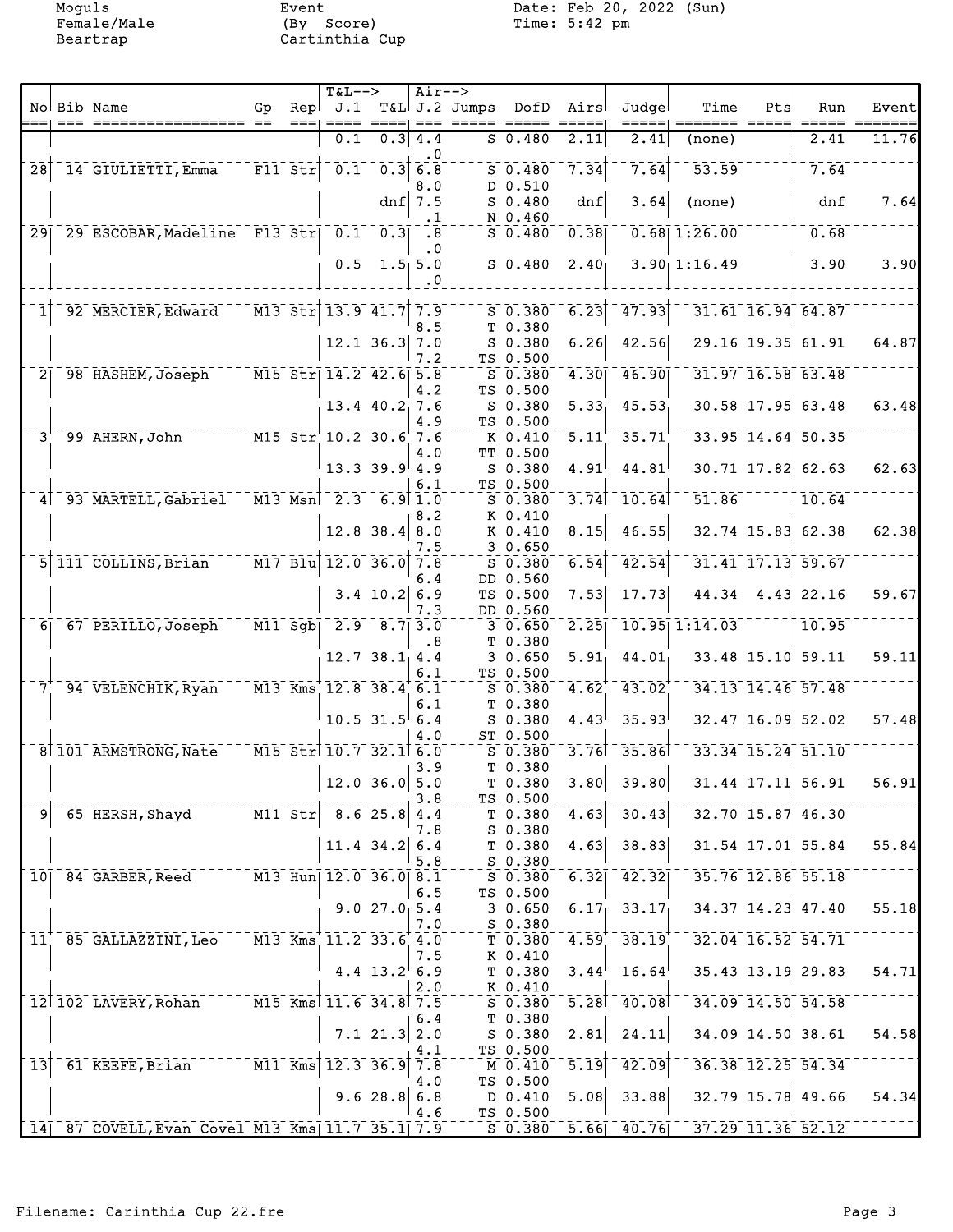Moguls Event Date: Feb 20, 2022 (Sun)<br>Female/Male (By Score) Time: 5:42 pm

|                 |                                                |                                    |                                   | $T&L-->$                                                                             |                                                    | $Air--$          |                             |                                 |                   |                          |                                                 |     |                         |       |
|-----------------|------------------------------------------------|------------------------------------|-----------------------------------|--------------------------------------------------------------------------------------|----------------------------------------------------|------------------|-----------------------------|---------------------------------|-------------------|--------------------------|-------------------------------------------------|-----|-------------------------|-------|
|                 | No Bib Name                                    | Gp                                 | Repl                              |                                                                                      |                                                    |                  | J.1 T&L J.2 Jumps DofD Airs |                                 |                   | Judgel                   | Time                                            | Pts | Run                     | Event |
|                 |                                                |                                    |                                   | 0.1                                                                                  |                                                    | 0.3   4.4        |                             | 50.480                          | 2.11              | 2.41                     | (none)                                          |     | 2.41                    | 11.76 |
|                 |                                                |                                    |                                   |                                                                                      |                                                    | $\ddotsc 0$      |                             |                                 |                   |                          |                                                 |     |                         |       |
| $\overline{28}$ | 14 GIULIETTI, Emma F11 Str                     |                                    |                                   |                                                                                      | $\overline{0.1}$ $\overline{0.3}$ $\overline{6.8}$ |                  |                             | $S$ 0.480                       | 7.34              | 7.64                     | 53.59                                           |     | 7.64                    |       |
|                 |                                                |                                    |                                   |                                                                                      |                                                    | 8.0<br>dnf $7.5$ |                             | D 0.510<br>$S$ 0.480            | dnf               | 3.64                     | (none)                                          |     | dnf                     | 7.64  |
|                 |                                                |                                    |                                   |                                                                                      |                                                    | $\cdot$ 1        |                             | $N_0$ 0.460                     |                   |                          |                                                 |     |                         |       |
|                 | 29 29 ESCOBAR, Madeline F13 Str 0.1 0.3 .8     |                                    |                                   |                                                                                      |                                                    |                  |                             | $5\overline{0.480}$ $0.38$      |                   |                          | $0.68$ 1:26.00                                  |     | 0.68                    |       |
|                 |                                                |                                    |                                   |                                                                                      | $0.5 \quad 1.5 \quad 5.0$                          | $\cdot$ 0        |                             | $S$ 0.480                       | 2.40 <sub>1</sub> |                          | $3.90$ 1:16.49                                  |     | 3.90                    | 3.90  |
|                 |                                                |                                    |                                   |                                                                                      |                                                    | . 0              |                             |                                 |                   |                          |                                                 |     |                         |       |
|                 |                                                |                                    |                                   |                                                                                      |                                                    |                  |                             |                                 |                   |                          |                                                 |     |                         |       |
| $1\vert$        | 92 MERCIER, Edward                             |                                    |                                   | M13 Str 13.9 41.7 7.9                                                                |                                                    | 8.5              |                             | $S$ 0.380<br>T 0.380            | 6.23              | 47.93                    |                                                 |     | $31.61$ $16.94$ $64.87$ |       |
|                 |                                                |                                    |                                   |                                                                                      | $12.1$ 36.3 7.0                                    |                  |                             | $S$ 0.380                       | 6.26              | 42.56                    |                                                 |     | 29.16 19.35 61.91       | 64.87 |
|                 |                                                |                                    |                                   |                                                                                      |                                                    | 7.2              |                             | TS 0.500                        |                   |                          |                                                 |     |                         |       |
| $\overline{2}$  | 98 HASHEM, Joseph M15 Str 14.2 42.6 5.8        |                                    |                                   |                                                                                      |                                                    | 4.2              |                             | S 0.380<br>TS 0.500             | 4.30              | $-46.90$                 |                                                 |     | $31.97$ $16.58$ 63.48   |       |
|                 |                                                |                                    |                                   |                                                                                      | $13.4$ $40.2$ , $7.6$                              |                  |                             | $S$ 0.380                       | 5.33              | 45.53                    |                                                 |     | 30.58 17.95 63.48       | 63.48 |
|                 |                                                |                                    |                                   |                                                                                      |                                                    | 4.9              |                             | TS 0.500                        |                   |                          |                                                 |     |                         |       |
| 3.              | 99 AHERN, John M15 Str 10.2 30.6 7.6           |                                    |                                   |                                                                                      |                                                    | 4.0              |                             | K 0.410<br>TT 0.500             | $\overline{5.11}$ | 35.71                    |                                                 |     | $33.95$ 14.64 50.35     |       |
|                 |                                                |                                    |                                   |                                                                                      | $13.3$ 39.9 4.9                                    |                  |                             | S 0.380                         | 4.91              | 44.81                    |                                                 |     | $30.71$ 17.82 62.63     | 62.63 |
|                 |                                                |                                    |                                   |                                                                                      |                                                    | 6.1              |                             | TS 0.500                        |                   |                          |                                                 |     |                         |       |
|                 | 4 93 MARTELL, Gabriel                          |                                    |                                   | $\overline{M13}$ $\overline{Msn}$ $\overline{2.3}$ $\overline{6.9}$ $\overline{1.0}$ |                                                    | 8.2              |                             | $S$ 0.380<br>K 0.410            | 3.74              | $-10.64$                 | 51.86                                           |     | 10.64                   |       |
|                 |                                                |                                    |                                   |                                                                                      | $12.8$ 38.4 8.0                                    |                  |                             | K 0.410                         | 8.15              | 46.55                    |                                                 |     | $32.74$ 15.83 62.38     | 62.38 |
|                 |                                                |                                    |                                   |                                                                                      |                                                    | 7.5              |                             | 3 0.650                         |                   |                          |                                                 |     |                         |       |
|                 | 5 111 COLLINS, Brian M17 Blu 12.0 36.0 7.8     |                                    |                                   |                                                                                      |                                                    | 6.4              |                             | S 0.380<br>DD 0.560             | 6.54              | 42.54                    |                                                 |     | 31.41 17.13 59.67       |       |
|                 |                                                |                                    |                                   |                                                                                      | $3.4$ 10.2 6.9                                     |                  |                             | TS 0.500                        | 7.53              | 17.73                    |                                                 |     | 44.34 4.43 22.16        | 59.67 |
|                 |                                                |                                    |                                   |                                                                                      |                                                    | 7.3              |                             | DD 0.560                        |                   |                          |                                                 |     |                         |       |
|                 | 6 67 PERILLO, Joseph M11 Sgb 2.9 8.7 3.0       |                                    |                                   |                                                                                      |                                                    | .8               |                             | 3 0.650<br>T 0.380              | $\overline{2.25}$ |                          | $10.95$   $1:14.03$                             |     | 10.95                   |       |
|                 |                                                |                                    |                                   |                                                                                      | $12.7$ $38.1$ $4.4$                                |                  |                             | 30.650                          | 5.91              | 44.01                    |                                                 |     | 33.48 15.10 59.11       | 59.11 |
|                 |                                                |                                    |                                   |                                                                                      |                                                    | 6.1              |                             | TS 0.500                        |                   |                          |                                                 |     |                         |       |
| $\bar{7}$       | 94 VELENCHIK, Ryan                             |                                    |                                   | $\overline{M13}$ Kms $12.8$ 38.4 6.1                                                 |                                                    |                  |                             | $S$ 0.380                       | 4.62              | $43.02^{+}$              |                                                 |     | 34.13 14.46 57.48       |       |
|                 |                                                |                                    |                                   |                                                                                      | $10.5$ 31.5 6.4                                    | 6.1              |                             | T 0.380<br>$S$ 0.380            | 4.43              | 35.93                    |                                                 |     | $32.47$ 16.09 52.02     | 57.48 |
|                 |                                                |                                    |                                   |                                                                                      |                                                    | 4.0              |                             | ST 0.500                        |                   |                          |                                                 |     |                         |       |
|                 | 8 101 ARMSTRONG, Nate M15 Str 10.7 32.1 6.0    |                                    |                                   |                                                                                      |                                                    |                  |                             | $S = 0.380$                     |                   | $3.76$ <sup>-35.86</sup> |                                                 |     | 33.34 15.24 51.10       |       |
|                 |                                                |                                    |                                   |                                                                                      | $12.0$ 36.0 5.0                                    | 3.9              |                             | T 0.380<br>T 0.380              |                   | $3.80$ 39.80             | $31.44$ $17.11$ $56.91$                         |     |                         | 56.91 |
|                 |                                                |                                    |                                   |                                                                                      |                                                    | 3.8              |                             | TS 0.500                        |                   |                          |                                                 |     |                         |       |
| $\mathsf{g}$    | 65 HERSH, Shayd <sup>---</sup>                 |                                    | $\overline{M11}$ $\overline{Str}$ |                                                                                      | $\overline{8.6}$ 25.8 4.4                          |                  |                             | $T_{0.380}^{-1}$                | $\overline{4.63}$ | 30.43                    |                                                 |     | 32.70 15.87 46.30       |       |
|                 |                                                |                                    |                                   |                                                                                      | $11.4$ 34.2                                        | 7.8<br>6.4       |                             | $S$ 0.380<br>T <sub>0.380</sub> | 4.63              | 38.83                    |                                                 |     | $31.54$ 17.01 55.84     | 55.84 |
|                 |                                                |                                    |                                   |                                                                                      |                                                    | 5.8              |                             | $S = 0.380$                     |                   |                          |                                                 |     |                         |       |
|                 | 10 84 GARBER, Reed M13 Hun 12.0 36.0 8.1       |                                    |                                   |                                                                                      |                                                    |                  |                             | S 0.380                         | 6.32              | 42.32                    |                                                 |     | 35.76 12.86 55.18       |       |
|                 |                                                |                                    |                                   |                                                                                      | 9.027.05.4                                         | 6.5              |                             | TS 0.500<br>30.650              | 6.17              | 33.17                    |                                                 |     | $34.37$ $14.23$ $47.40$ | 55.18 |
|                 |                                                |                                    |                                   |                                                                                      |                                                    | 7.0              |                             | $S$ 0.380                       |                   |                          |                                                 |     |                         |       |
| $11^{\circ}$    | 85 GALLAZZINI, Leo                             |                                    |                                   | M13 Kms 11.2 33.6 4.0                                                                |                                                    |                  |                             | T T 0.380                       | $4.59^{+}$        | 38.19                    |                                                 |     | 32.04 16.52 54.71       |       |
|                 |                                                |                                    |                                   |                                                                                      | $4.4$ 13.2 6.9                                     | 7.5              |                             | K 0.410<br>T <sub>0.380</sub>   | 3.44 <sup>1</sup> | 16.64                    |                                                 |     | $35.43$ $13.19$ 29.83   | 54.71 |
|                 |                                                |                                    |                                   |                                                                                      |                                                    | 2.0              |                             | K 0.410                         |                   |                          |                                                 |     |                         |       |
|                 | 12 102 LAVERY, Rohan M15 Kms 11.6 34.8 7.5     |                                    |                                   |                                                                                      |                                                    |                  |                             | S 0.380                         |                   | $5.281 - 40.081$         |                                                 |     | 34.09 14.50 54.58       |       |
|                 |                                                |                                    |                                   |                                                                                      | $7.1$ 21.3 2.0                                     | 6.4              |                             | T 0.380<br>S 0.380              | 2.81              | 24.11                    |                                                 |     | 34.09 14.50 38.61       | 54.58 |
|                 |                                                |                                    |                                   |                                                                                      |                                                    | 4.1              |                             | TS 0.500                        |                   |                          |                                                 |     |                         |       |
| $\overline{1}3$ | 61 KEEFE, Brian                                | $ \overline{M11}$ $\overline{Kms}$ |                                   |                                                                                      | $\overline{12.3}$ $\overline{36.9}$                | 7.8              |                             | M 0.410                         | $\overline{5.19}$ | 42.09                    |                                                 |     | 36.38 12.25 54.34       |       |
|                 |                                                |                                    |                                   |                                                                                      | 9.628.8                                            | 4.0<br>6.8       |                             | TS 0.500<br>D 0.410             | 5.08              | 33.88                    |                                                 |     | 32.79 15.78 49.66       | 54.34 |
|                 |                                                |                                    |                                   |                                                                                      |                                                    | 4.6              |                             | TS 0.500                        |                   |                          |                                                 |     |                         |       |
|                 | 14 87 COVELL, Evan Covel M13 Kms 11.7 35.1 7.9 |                                    |                                   |                                                                                      |                                                    |                  |                             |                                 |                   |                          | $50.380 - 5.66 - 40.76 - 37.29 - 11.36 - 52.12$ |     |                         |       |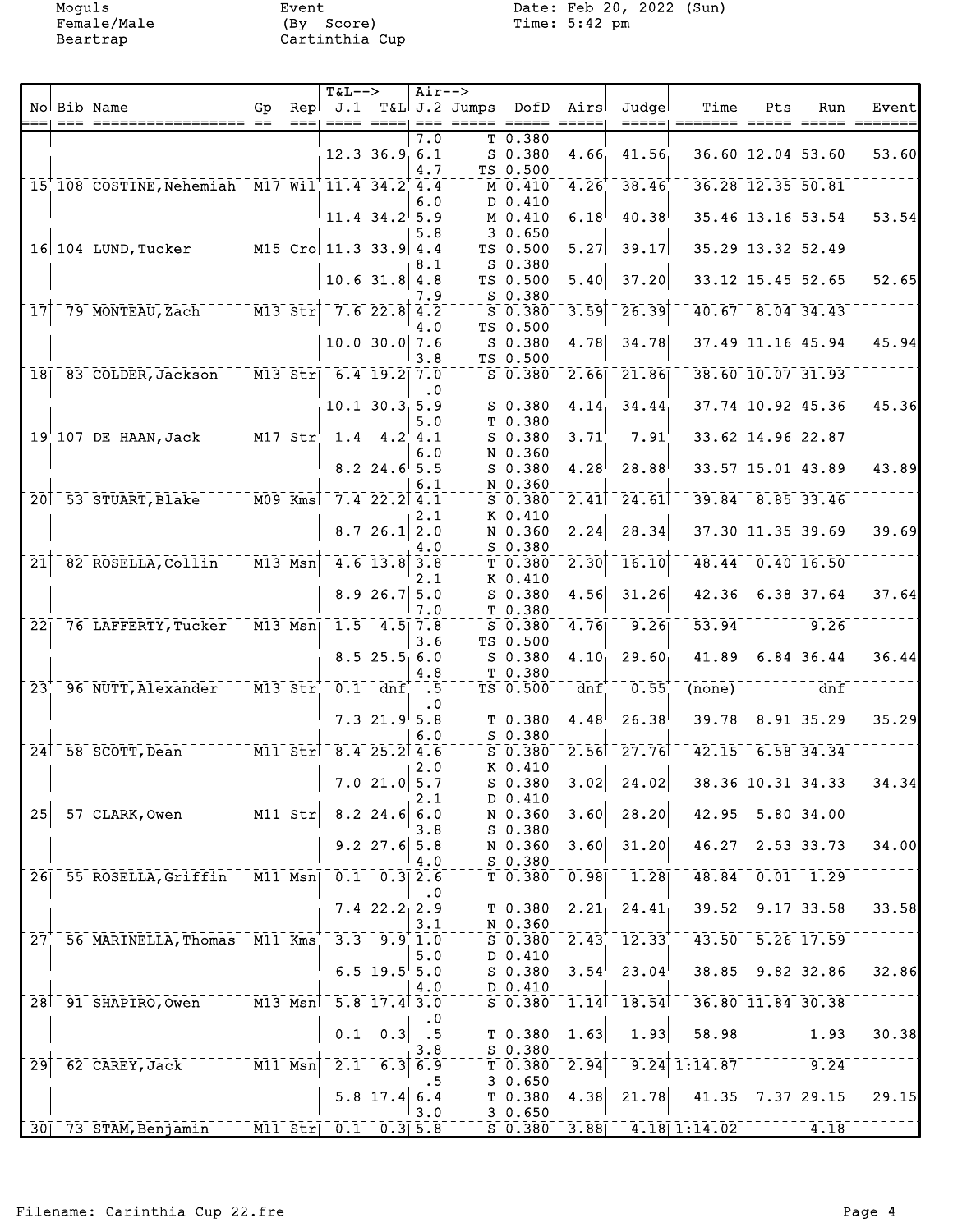Moguls Event Event Date: Feb 20, 2022 (Sun)<br>Female/Male (By Score) Time: 5:42 pm

|                 |        |                                                |                                   |           | <b>T&amp;L--&gt;</b>                                                        |                                                      | Air-->    |                   |                    |                   |                             |                    |     |                                      |                  |
|-----------------|--------|------------------------------------------------|-----------------------------------|-----------|-----------------------------------------------------------------------------|------------------------------------------------------|-----------|-------------------|--------------------|-------------------|-----------------------------|--------------------|-----|--------------------------------------|------------------|
|                 |        | No Bib Name                                    | Gp                                | Repl      |                                                                             |                                                      |           | J.1 T&L J.2 Jumps | DofD               | Airs              | Judgel                      | Time               | Pts | Run                                  | Event            |
|                 | $== =$ | ================== ==                          |                                   |           |                                                                             | $\qquad \qquad \equiv \equiv \equiv \equiv \pmod{2}$ |           |                   |                    |                   | =====                       |                    |     |                                      | $=$ ==== ======= |
|                 |        |                                                |                                   |           |                                                                             |                                                      | 7.0       |                   | T 0.380            |                   |                             |                    |     |                                      |                  |
|                 |        |                                                |                                   |           |                                                                             | $12.3$ $36.9$ 6.1                                    |           |                   | $S$ 0.380          | 4.66              | 41.56                       |                    |     | $36.60$ 12.04, 53.60                 | 53.60            |
|                 |        |                                                |                                   |           |                                                                             |                                                      | 4.7       |                   | TS 0.500           |                   |                             |                    |     |                                      |                  |
|                 |        | 15 108 COSTINE, Nehemiah M17 Wil 11.4 34.2 4.4 |                                   |           |                                                                             |                                                      |           |                   | M 0.410            | 4.26              | 38.46                       |                    |     | $36.28$ $12.35$ $50.81$              |                  |
|                 |        |                                                |                                   |           |                                                                             |                                                      | 6.0       |                   | D 0.410            |                   |                             |                    |     |                                      |                  |
|                 |        |                                                |                                   |           |                                                                             | $11.4$ 34.2 5.9                                      |           |                   | M 0.410            | 6.18              | 40.38                       |                    |     | $35.46$ 13.16 53.54                  | 53.54            |
|                 |        |                                                |                                   |           |                                                                             |                                                      | 5.8       |                   | 30.650             |                   |                             |                    |     |                                      |                  |
|                 |        | 16 104 LUND, Tucker M15 Cro 11.3 33.9 4.4      |                                   |           |                                                                             |                                                      |           |                   | TS 0.500           | 5.27              | $\sqrt{-39.17}$             |                    |     | 35.29 13.32 52.49                    |                  |
|                 |        |                                                |                                   |           |                                                                             |                                                      | 8.1       |                   | $S_0.380$          |                   |                             |                    |     |                                      |                  |
|                 |        |                                                |                                   |           |                                                                             | $10.6$ 31.8 4.8                                      |           |                   | TS 0.500           | 5.40              | 37.20                       |                    |     | $33.12$ 15.45 52.65                  | 52.65            |
|                 |        |                                                |                                   |           |                                                                             |                                                      |           |                   |                    |                   |                             |                    |     |                                      |                  |
|                 |        |                                                |                                   |           |                                                                             |                                                      | 7.9       |                   | S 0.380            |                   | 26.39                       |                    |     |                                      |                  |
| $\overline{17}$ |        | 79 MONTEAU, Zach                               | $M13$ $5tr$                       |           |                                                                             | $7.6$ 22.8 4.2                                       |           |                   | $S$ 0.380          | 3.59              |                             |                    |     | $40.67 - 8.04$ 34.43                 |                  |
|                 |        |                                                |                                   |           |                                                                             |                                                      | 4.0       |                   | TS 0.500           |                   |                             |                    |     |                                      |                  |
|                 |        |                                                |                                   |           |                                                                             | $10.0$ 30.0 7.6                                      |           |                   | $S_0.380$          | 4.78              | 34.78                       |                    |     | 37.49 11.16 45.94                    | 45.94            |
|                 |        |                                                |                                   |           |                                                                             |                                                      | 3.8       |                   | TS 0.500           |                   |                             |                    |     |                                      |                  |
| 18 <sub>1</sub> |        | 83 COLDER, Jackson                             |                                   |           | $\overline{M13}$ Str 6.4 19.2 7.0                                           |                                                      |           |                   | $S$ 0.380          | 2.66              | $\overline{21.86}$          |                    |     | 38.60 10.07 31.93                    |                  |
|                 |        |                                                |                                   |           |                                                                             |                                                      | $\cdot$ 0 |                   |                    |                   |                             |                    |     |                                      |                  |
|                 |        |                                                |                                   |           |                                                                             | $10.1$ $30.3$ $5.9$                                  |           |                   | S 0.380            | 4.14              | 34.44                       |                    |     | 37.74 10.92 45.36                    | 45.36            |
|                 |        |                                                |                                   |           |                                                                             |                                                      | 5.0       |                   | T 0.380            |                   |                             |                    |     |                                      |                  |
|                 |        | $19'$ $107$ DE HAAN, Jack                      |                                   |           | $M17$ $Str$ <sup><math>-1.4</math></sup> $4.2$ <sup><math>+1.1</math></sup> |                                                      |           |                   | $S$ 0.380          | 3.71              | 7.91                        |                    |     | 33.62 14.96 22.87                    |                  |
|                 |        |                                                |                                   |           |                                                                             |                                                      | 6.0       |                   | N 0.360            |                   |                             |                    |     |                                      |                  |
|                 |        |                                                |                                   |           |                                                                             | $8.2$ 24.6 5.5                                       |           |                   | $S$ 0.380          | 4.28              | 28.88                       |                    |     | $33.57$ 15.01 43.89                  | 43.89            |
|                 |        |                                                |                                   |           |                                                                             |                                                      | 6.1       |                   | N 0.360            |                   |                             |                    |     |                                      |                  |
|                 |        | 20 53 STUART, Blake                            | $\overline{M09}$ $\overline{Kms}$ |           | $7.4$ 22.2 4.1                                                              |                                                      |           |                   | $S$ 0.380          | $\overline{2.41}$ | 24.61                       |                    |     | $39.84 - 8.85$ 33.46                 |                  |
|                 |        |                                                |                                   |           |                                                                             |                                                      | 2.1       |                   | K 0.410            |                   |                             |                    |     |                                      |                  |
|                 |        |                                                |                                   |           |                                                                             | 8.726.12.0                                           |           |                   | N 0.360            | 2.24              | 28.34                       |                    |     | $37.30$ 11.35 39.69                  | 39.69            |
|                 |        |                                                |                                   |           |                                                                             |                                                      |           |                   | $S$ 0.380          |                   |                             |                    |     |                                      |                  |
| $\overline{21}$ |        |                                                |                                   |           |                                                                             |                                                      | 4.0       |                   |                    |                   | 16.10                       |                    |     | 48.44 0.40 16.50                     |                  |
|                 |        | 82 ROSELLA, Collin                             | $M13$ $Nsn$                       |           |                                                                             | $4.6$ 13.8 3.8                                       |           |                   | $T$ 0.380          | $\overline{2.30}$ |                             |                    |     |                                      |                  |
|                 |        |                                                |                                   |           |                                                                             |                                                      | 2.1       |                   | K 0.410            |                   |                             |                    |     |                                      |                  |
|                 |        |                                                |                                   |           |                                                                             | 8.926.75.0                                           |           |                   | S 0.380            | 4.56              | 31.26                       | 42.36              |     | $6.38$ 37.64                         | 37.64            |
|                 |        |                                                |                                   |           |                                                                             |                                                      | 7.0       |                   | T 0.380            |                   |                             |                    |     |                                      |                  |
| 221             |        | 76 LAFFERTY, Tucker                            |                                   | $M13$ Msn |                                                                             | $-1.5 - 4.5$ 7.8                                     |           |                   | $S$ 0.380          | 4.76              | 9.26                        | $\overline{53.94}$ |     | 9.26                                 |                  |
|                 |        |                                                |                                   |           |                                                                             |                                                      | 3.6       |                   | TS 0.500           |                   |                             |                    |     |                                      |                  |
|                 |        |                                                |                                   |           |                                                                             | 8.525.56.0                                           |           |                   | $S$ 0.380          | 4.10              | 29.60                       | 41.89              |     | 6.84, 36.44                          | 36.44            |
|                 |        |                                                |                                   |           |                                                                             |                                                      | 4.8       |                   | T <sub>0.380</sub> |                   |                             |                    |     |                                      |                  |
| $\overline{2}3$ |        | 96 NUTT, Alexander                             |                                   |           | $M13$ $Str$ $0.1$ $dnf$                                                     |                                                      | .5        |                   | TS 0.500           | dnf               | 0.55                        | (none)             |     | dnf                                  |                  |
|                 |        |                                                |                                   |           |                                                                             |                                                      | . 0       |                   |                    |                   |                             |                    |     |                                      |                  |
|                 |        |                                                |                                   |           |                                                                             | $7.3$ 21.9 5.8                                       |           |                   | T <sub>0.380</sub> | 4.48              | 26.38                       | 39.78              |     | $8.91$ <sup>1</sup> 35.29            | 35.29            |
|                 |        |                                                |                                   |           |                                                                             |                                                      | 6.0       |                   | $S$ 0.380          |                   |                             |                    |     |                                      |                  |
|                 |        | $24$ <sup><math>-58</math></sup> SCOTT, Dean   |                                   |           | $\frac{1}{2}$ M11 Str <sup>1-8.4</sup> 25.2 4.6                             |                                                      |           |                   | $S$ 0.380          |                   | $2.56$ <sup>-</sup> $27.76$ |                    |     | $42.15 - 6.58$ 34.34                 |                  |
|                 |        |                                                |                                   |           |                                                                             |                                                      |           |                   | K 0.410            |                   |                             |                    |     |                                      |                  |
|                 |        |                                                |                                   |           |                                                                             | $7.0$ 21.0 5.7                                       | 2.0       |                   |                    | 3.02              |                             |                    |     | $38.36$ 10.31 34.33                  | 34.34            |
|                 |        |                                                |                                   |           |                                                                             |                                                      |           |                   | S 0.380            |                   | 24.02                       |                    |     |                                      |                  |
|                 |        |                                                |                                   |           |                                                                             |                                                      | 2.1       |                   | $D_0.410$          |                   |                             |                    |     |                                      |                  |
| $\overline{25}$ |        | 57 CLARK, Owen                                 | $\overline{M11}$ $\overline{Str}$ |           |                                                                             | $\overline{8.2}$ 24.6 6.0                            |           |                   | N 0.360            | 3.60              | 28.20                       | 42.95              |     | $\overline{5.80}$ $\overline{34.00}$ |                  |
|                 |        |                                                |                                   |           |                                                                             |                                                      | 3.8       |                   | $S$ 0.380          |                   |                             |                    |     |                                      |                  |
|                 |        |                                                |                                   |           |                                                                             | $9.2$ 27.6 5.8                                       |           |                   | N 0.360            | 3.60              | 31.20                       | 46.27              |     | $2.53$ 33.73                         | 34.00            |
|                 |        |                                                |                                   |           |                                                                             |                                                      | 4.0       |                   | $S$ 0.380          |                   |                             |                    |     |                                      |                  |
|                 |        | 26 55 ROSELLA, Griffin                         |                                   |           | $M11$ Msn  $0.1$ $0.3$ 2.6                                                  |                                                      |           |                   | $T$ 0.380          | 0.98              | 1.28                        |                    |     | $48.84 - 0.01 - 1.29$                |                  |
|                 |        |                                                |                                   |           |                                                                             |                                                      | $\cdot$ 0 |                   |                    |                   |                             |                    |     |                                      |                  |
|                 |        |                                                |                                   |           |                                                                             | $7.422.2$ <sub>1</sub> 2.9                           |           |                   | T 0.380            | 2.21              | 24.41                       | 39.52              |     | 9.17, 33.58                          | 33.58            |
|                 |        |                                                |                                   |           |                                                                             |                                                      | 3.1       |                   | N 0.360            |                   |                             |                    |     |                                      |                  |
| 27 <sub>1</sub> |        | 56 MARINELLA, Thomas M11 Kms                   |                                   |           |                                                                             | $3.3$ $9.9$ 1.0                                      |           |                   | $S\ \ 0.380^{-}$   | 2.43              | 12.33                       |                    |     | 43.50 5.26 17.59                     |                  |
|                 |        |                                                |                                   |           |                                                                             |                                                      | 5.0       |                   | D 0.410            |                   |                             |                    |     |                                      |                  |
|                 |        |                                                |                                   |           |                                                                             | $6.5$ 19.5 $5.0$                                     |           |                   | S 0.380            | 3.54              | 23.04                       |                    |     | $38.85$ $9.82$ 32.86                 | 32.86            |
|                 |        |                                                |                                   |           |                                                                             |                                                      | 4.0       |                   | D 0.410            |                   |                             |                    |     |                                      |                  |
|                 |        | 28 91 SHAPIRO, Owen                            |                                   |           | M13 Msn 5.8 17.4 3.0                                                        |                                                      |           |                   | $S$ 0.380          | 1.14              | $-18.54$                    |                    |     | 36.80 11.84 30.38                    |                  |
|                 |        |                                                |                                   |           |                                                                             |                                                      |           |                   |                    |                   |                             |                    |     |                                      |                  |
|                 |        |                                                |                                   |           |                                                                             |                                                      |           |                   |                    |                   |                             |                    |     |                                      |                  |
|                 |        |                                                |                                   |           | 0.1                                                                         | 0.3                                                  | $\cdot$ 5 |                   | T 0.380            | 1.63              | 1.93                        | 58.98              |     | 1.93                                 | 30.38            |
|                 |        |                                                |                                   |           |                                                                             |                                                      | 3.8       |                   | $S$ 0.380          |                   |                             |                    |     |                                      |                  |
| $\overline{29}$ |        | 62 CAREY, Jack                                 |                                   | $M11$ Msn | $2.1$ <sup>-1</sup>                                                         | 6.3                                                  | 6.9       |                   | $T_0.380$          | $\overline{2.94}$ |                             | $9.24$ 1:14.87     |     | 9.24                                 |                  |
|                 |        |                                                |                                   |           |                                                                             |                                                      | . 5       |                   | 30.650             |                   |                             |                    |     |                                      |                  |
|                 |        |                                                |                                   |           |                                                                             | 5.8 17.4                                             | 6.4       |                   | T 0.380            | 4.38              | 21.78                       | 41.35              |     | $7.37$ 29.15                         | 29.15            |
|                 |        |                                                |                                   |           |                                                                             |                                                      | 3.0       |                   | 30.650             |                   |                             |                    |     |                                      |                  |
|                 |        | 30 73 STAM, Benjamin                           |                                   |           | M11 Str 0.1 0.3 5.8                                                         |                                                      |           |                   | $S$ 0.380          | 3.88              |                             | $4.18$ 1:14.02     |     | 4.18                                 |                  |
|                 |        |                                                |                                   |           |                                                                             |                                                      |           |                   |                    |                   |                             |                    |     |                                      |                  |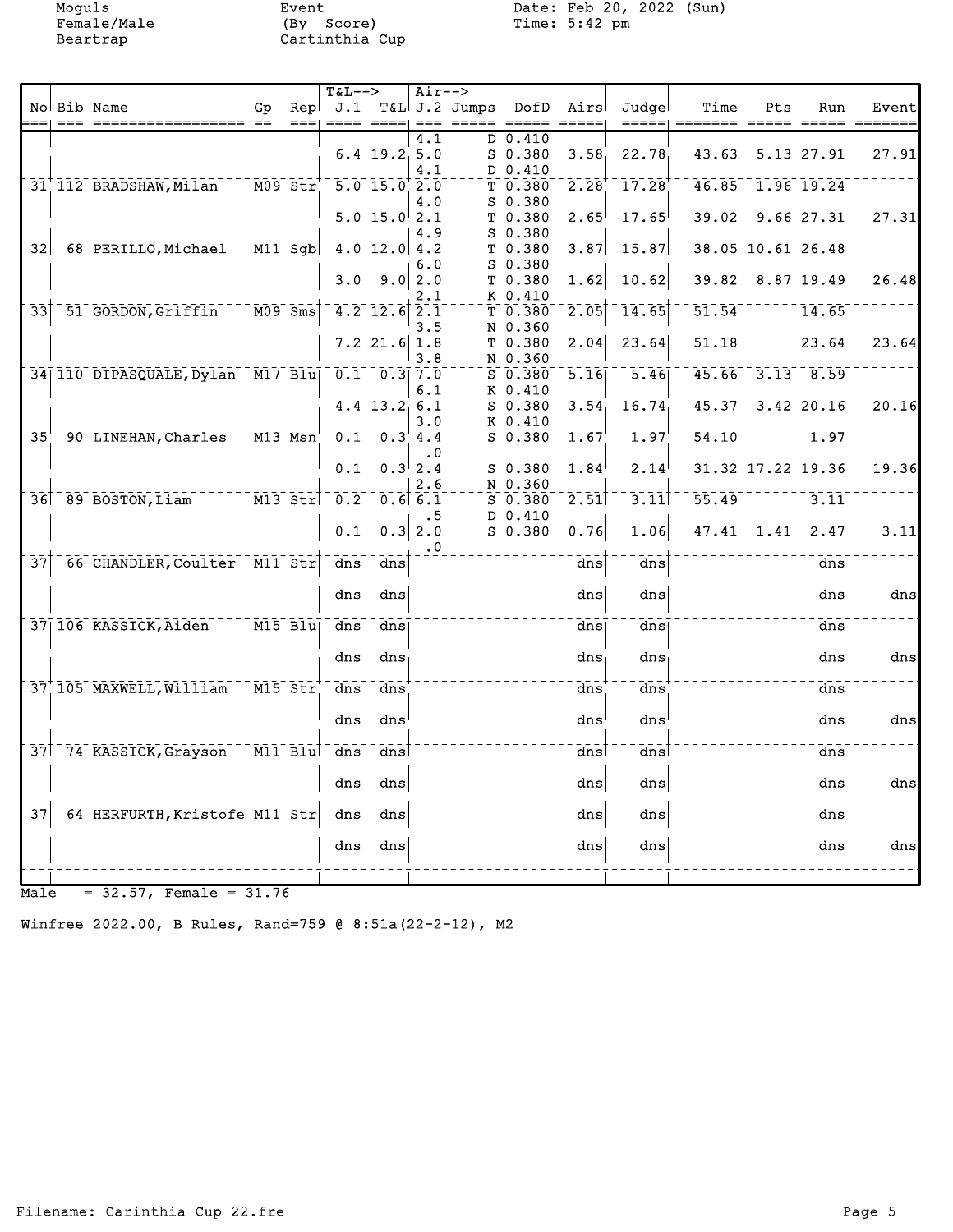Moguls Event Event Date: Feb 20, 2022 (Sun)<br>Female/Male (By Score) Time: 5:42 pm

|                 |         |                                                      |                                                                            |      | <b>T&amp;L--&gt;</b>   |                       | $Air-->$     |                             |                                          |                                  |                       |              |                                           |                    |
|-----------------|---------|------------------------------------------------------|----------------------------------------------------------------------------|------|------------------------|-----------------------|--------------|-----------------------------|------------------------------------------|----------------------------------|-----------------------|--------------|-------------------------------------------|--------------------|
|                 | $=$ $=$ | No Bib Name                                          | Gp                                                                         | Repl |                        |                       | $== =$       | J.1 T&L J.2 Jumps DofD Airs | $\qquad \qquad = \qquad \qquad = \qquad$ | Judgel                           | Time                  | Pts          | Run                                       | Event              |
|                 |         | ================== ==                                |                                                                            | $==$ |                        |                       | 4.1          | D 0.410                     |                                          |                                  | =====  ======= =====  |              |                                           | $=$ ==== $=$ ===== |
|                 |         |                                                      |                                                                            |      |                        | $6.4$ 19.2.5.0        |              | $S$ 0.380                   | 3.58                                     | 22.78                            | 43.63                 |              | 5.13, 27.91                               | 27.91              |
|                 |         |                                                      |                                                                            |      |                        |                       | 4.1          | D 0.410                     |                                          |                                  |                       |              |                                           |                    |
|                 |         | 31 112 BRADSHAW, Milan                               | $\overline{M09}$ $\overline{5}$ $\overline{t}$ $\overline{r}$ <sup>+</sup> |      | $-5.0$ 15.0 $2.0$      |                       |              | T 0.380                     | 2.28                                     | $17.28$ <sup>†</sup>             |                       |              | $46.85$ <sup>-1.96</sup> <sup>19.24</sup> |                    |
|                 |         |                                                      |                                                                            |      |                        |                       | 4.0          | $S$ 0.380                   |                                          |                                  |                       |              |                                           |                    |
|                 |         |                                                      |                                                                            |      |                        | 5.0 15.0 2.1          |              | T 0.380                     | 2.65                                     | 17.65                            |                       |              | $39.02$ $9.66$ 27.31                      | 27.31              |
|                 |         |                                                      |                                                                            |      |                        |                       | 4.9          | $S$ 0.380                   |                                          |                                  |                       |              |                                           |                    |
|                 |         | 32 68 PERILLO, Michael M11 Sgb 4.0 12.0 4.2          |                                                                            |      |                        |                       |              | T 0.380                     | 3.87                                     | $-15.87$                         |                       |              | 38.05 10.61 26.48                         |                    |
|                 |         |                                                      |                                                                            |      |                        |                       | 6.0          | $S_0.380$                   |                                          |                                  |                       |              |                                           |                    |
|                 |         |                                                      |                                                                            |      |                        | $3.0$ $9.0$ 2.0       |              | T 0.380                     | 1.62                                     | 10.62                            |                       |              | $39.82$ $8.87$ 19.49                      | 26.48              |
|                 |         |                                                      |                                                                            |      |                        |                       | 2.1          | K 0.410                     |                                          |                                  | $\bar{51}.\bar{54}^-$ |              |                                           |                    |
| $\overline{33}$ |         | 51 GORDON, Griffin 1009 Sms                          |                                                                            |      | $-4.2$ 12.6 2.1        |                       |              | T 0.380                     | 2.05                                     | 14.65                            |                       |              | 14.65                                     |                    |
|                 |         |                                                      |                                                                            |      |                        | $7.2$ 21.6 1.8        | 3.5          | N 0.360<br>T 0.380          | 2.04                                     | 23.64                            | 51.18                 |              | 23.64                                     | 23.64              |
|                 |         |                                                      |                                                                            |      |                        |                       | 3.8          | N 0.360                     |                                          |                                  |                       |              |                                           |                    |
|                 |         | 34 110 DIPASQUALE, Dylan M17 Blu 0.1 0.3 7.0         |                                                                            |      |                        |                       |              | $S$ 0.380                   | $\overline{5.16}$                        | $-5.46$                          |                       |              | $45.66 - 3.13 - 8.59$                     |                    |
|                 |         |                                                      |                                                                            |      |                        |                       | 6.1          | K 0.410                     |                                          |                                  |                       |              |                                           |                    |
|                 |         |                                                      |                                                                            |      |                        | $4.4$ 13.2 6.1        |              | $S$ 0.380                   | 3.54                                     | 16.74                            |                       |              | $45.37$ $3.42$ <sub>1</sub> 20.16         | 20.16              |
|                 |         |                                                      |                                                                            |      |                        |                       | 3.0          | K 0.410                     |                                          |                                  |                       |              |                                           |                    |
| 35 <sup>′</sup> |         | 90 LINEHAN, Charles M13 Msn <sup>+</sup> 0.1 0.3 4.4 |                                                                            |      |                        |                       |              | $S_0.380$                   | 1.67                                     | $1.97$ <sup>+</sup>              |                       |              | $54.10$ <sup>------+-</sup> 1.97          |                    |
|                 |         |                                                      |                                                                            |      |                        |                       | . 0          |                             |                                          |                                  |                       |              |                                           |                    |
|                 |         |                                                      |                                                                            |      | 0.1                    |                       | $0.3^{ }2.4$ | $S$ 0.380                   | 1.84                                     | 2.14                             |                       |              | $31.32$ $17.22$ 19.36                     | 19.36              |
|                 |         |                                                      |                                                                            |      |                        |                       | 2.6          | N 0.360                     |                                          |                                  |                       |              |                                           |                    |
|                 |         | 36 89 BOSTON, Liam 113 Str 0.2 0.6 6.1               |                                                                            |      |                        |                       |              | S 0.380                     | $\overline{2.51}$                        | $\bar{3}.\bar{1}\bar{1}^\dagger$ | $55.49^{--1}$         |              | $\leftarrow$ $\uparrow$ 3.11              |                    |
|                 |         |                                                      |                                                                            |      |                        | $0.1 \quad 0.3   2.0$ | .5           | D 0.410                     |                                          |                                  |                       |              |                                           |                    |
|                 |         |                                                      |                                                                            |      |                        |                       |              | $S$ 0.380                   | 0.76                                     | 1.06                             |                       | $47.41$ 1.41 | 2.47                                      | 3.11               |
| $\overline{37}$ |         | 66 CHANDLER, Coulter M11 Str dns dns                 |                                                                            |      |                        |                       | $\cdot$ 0    |                             | dns                                      | dns                              |                       |              | dns                                       |                    |
|                 |         |                                                      |                                                                            |      |                        |                       |              |                             |                                          |                                  |                       |              |                                           |                    |
|                 |         |                                                      |                                                                            |      | dns                    | dns                   |              |                             | dns                                      | dns                              |                       |              | dns                                       | dns                |
|                 |         |                                                      |                                                                            |      |                        |                       |              |                             |                                          |                                  |                       |              |                                           |                    |
|                 |         | 37 106 KASSICK, Aiden M15 Blu                        |                                                                            |      | $\frac{1}{\text{dns}}$ | dns                   |              |                             | dns                                      | $\frac{1}{\text{dns}}$           |                       |              | dns                                       |                    |
|                 |         |                                                      |                                                                            |      |                        |                       |              |                             |                                          |                                  |                       |              |                                           |                    |
|                 |         |                                                      |                                                                            |      | dns                    | dns                   |              |                             | $dns_1$                                  | dns                              |                       |              | dns                                       | dns                |
|                 |         |                                                      |                                                                            |      |                        |                       |              |                             |                                          |                                  |                       |              |                                           |                    |
|                 |         | 37 105 MAXWELL, William M15 Str                      |                                                                            |      | $\frac{1}{\text{dns}}$ | dns                   |              |                             | dns                                      | dns                              |                       |              | dns                                       |                    |
|                 |         |                                                      |                                                                            |      |                        |                       |              |                             |                                          |                                  |                       |              |                                           |                    |
|                 |         |                                                      |                                                                            |      | dns                    | dns                   |              |                             | dns                                      | dns                              |                       |              | dns                                       | dns                |
|                 |         |                                                      |                                                                            |      |                        | dns                   |              |                             |                                          | dns                              |                       |              |                                           |                    |
|                 |         | 37 74 KASSICK, Grayson M11 Blu dns                   |                                                                            |      |                        |                       |              |                             | dns                                      |                                  |                       |              | dns                                       |                    |
|                 |         |                                                      |                                                                            |      | dns                    | dns                   |              |                             | dns                                      | dns                              |                       |              | dns                                       | dns                |
|                 |         |                                                      |                                                                            |      |                        |                       |              |                             |                                          |                                  |                       |              |                                           |                    |
| $\overline{37}$ |         | 64 HERFURTH, Kristofe M11 Str                        |                                                                            |      | $\overline{d}$ ns      | $\bar{d}$ ns          |              |                             | dns                                      | $\bar{d}$ ns                     |                       |              | dns                                       |                    |
|                 |         |                                                      |                                                                            |      |                        |                       |              |                             |                                          |                                  |                       |              |                                           |                    |
|                 |         |                                                      |                                                                            |      | dns                    | dns                   |              |                             | dns                                      | dns                              |                       |              | dns                                       | dns                |
|                 |         |                                                      |                                                                            |      |                        |                       |              |                             |                                          |                                  |                       |              |                                           |                    |
|                 |         |                                                      |                                                                            |      |                        |                       |              |                             |                                          |                                  |                       |              |                                           |                    |

 $Male = 32.57$ , Female =  $31.76$ 

Winfree 2022.00, B Rules, Rand=759 @ 8:51a(22-2-12), M2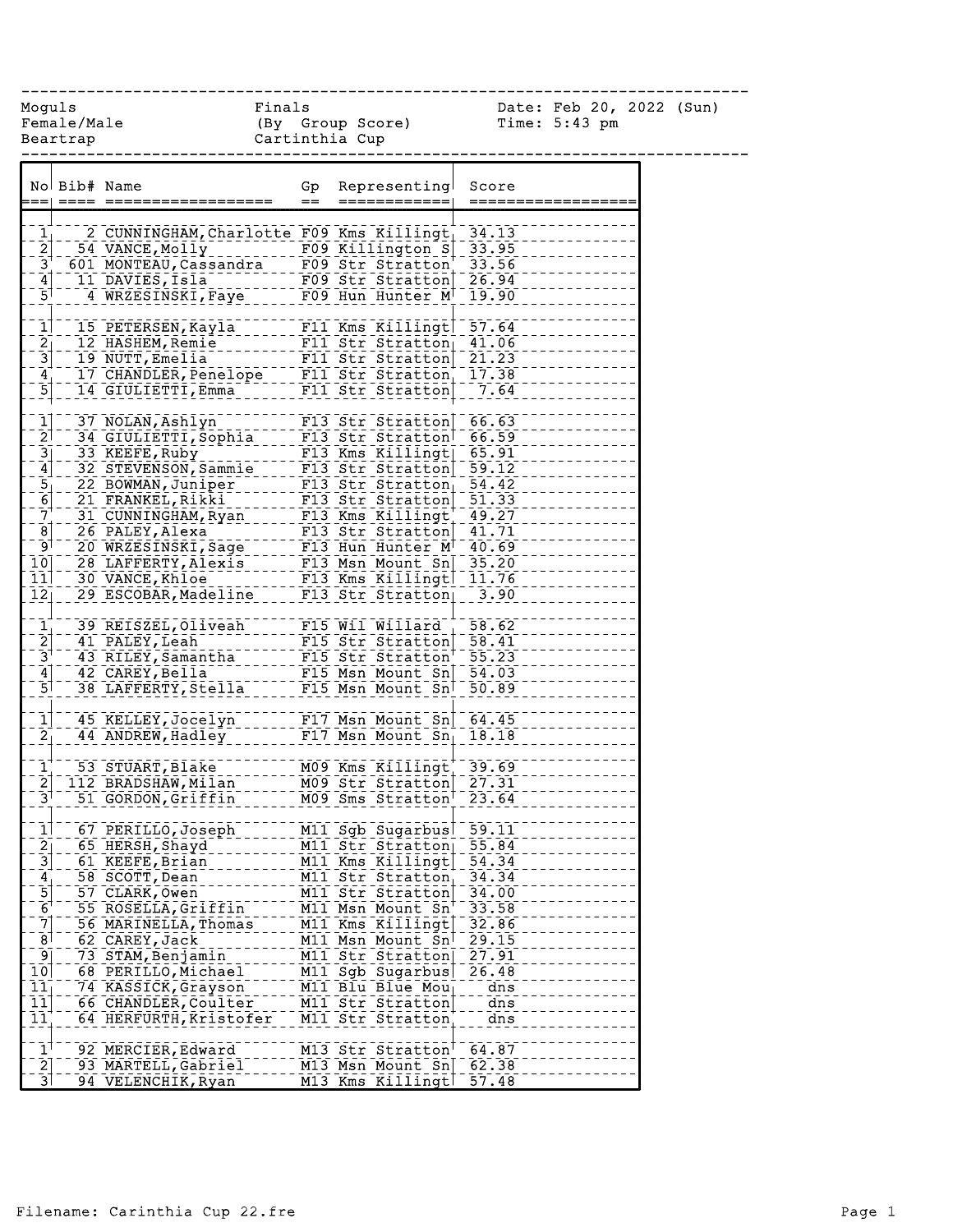------------------------------------------------------------------------------

Female/Male (By Group Score) Time: 5:43 pm Beartrap Cartinthia Cup

Moguls Finals Date: Feb 20, 2022 (Sun)

|                                                   | No Bib# Name |                                                                                                                                    | Gp      | Representing                                     | Score   |
|---------------------------------------------------|--------------|------------------------------------------------------------------------------------------------------------------------------------|---------|--------------------------------------------------|---------|
|                                                   |              |                                                                                                                                    | $=$ $-$ | ============                                     |         |
|                                                   |              |                                                                                                                                    |         |                                                  |         |
| $\frac{1}{2}$                                     |              |                                                                                                                                    |         |                                                  |         |
|                                                   |              |                                                                                                                                    |         |                                                  |         |
| $\overline{3}^{\dagger}$                          |              |                                                                                                                                    |         |                                                  |         |
| $\left[4\right]$                                  |              | 11 DAVIES, Isla - - - - - - - - FO9 Str Stratton 26.94<br>4 WRZESINSKI, Faye - - - - FO9 Hun Hunter M 19.90                        |         |                                                  |         |
| $\bar{5}$                                         |              |                                                                                                                                    |         |                                                  |         |
| $\overline{1}$                                    |              |                                                                                                                                    |         |                                                  |         |
|                                                   |              | 15 PETERSEN, Kayla F11 Kms Killingt 57.64                                                                                          |         |                                                  |         |
| $\begin{bmatrix} 2 \\ -3 \end{bmatrix}$           |              | 12 HASHEM, Remie FII Str Stratton 41.06<br>19 NUTT, Emelia F11 Str Stratton                                                        |         |                                                  | 21.23   |
|                                                   |              |                                                                                                                                    |         |                                                  |         |
|                                                   |              | 17 CHANDLER, Penelope F11 Str Stratton, 17.38                                                                                      |         |                                                  | $-7.64$ |
| $\begin{bmatrix} 4 \\ 5 \\ -1 \end{bmatrix}$      |              | 14 GIULIETTI, Emma F11 Str Stratton                                                                                                |         |                                                  |         |
|                                                   |              | 37 NOLAN, Ashlyn F13 Str Stratton 66.63                                                                                            |         |                                                  |         |
| $\frac{1}{2}$                                     |              |                                                                                                                                    |         |                                                  |         |
| $\overline{3}$                                    |              | 34 GIULIETTI, Sophia F13 Str Stratton 66.59                                                                                        |         |                                                  |         |
|                                                   |              | 33 KEEFE, Ruby<br>32 STEVENSON, Sammie ---- F13 Kms Killingt 65.91<br>32 STEVENSON, Sammie --- F13 Str Stratton 59.12              |         |                                                  |         |
| $\begin{bmatrix} 4 \\ 5 \\ -7 \\ 6 \end{bmatrix}$ |              |                                                                                                                                    |         |                                                  |         |
|                                                   |              | 22 BOWMAN, Juniper F13 Str Stratton 54.42<br>21 FRANKEL, Rikki F13 Str Stratton 51.33<br>31 CUNNINGHAM, Ryan F13 Km Killingt 49.27 |         |                                                  |         |
|                                                   |              |                                                                                                                                    |         |                                                  |         |
|                                                   |              |                                                                                                                                    |         |                                                  |         |
| ⊺و⊺                                               |              |                                                                                                                                    |         |                                                  |         |
| $\overline{1}\,\overline{0}\,$                    |              |                                                                                                                                    |         |                                                  |         |
| $\overline{1}\overline{1}$                        |              | 30 VANCE, Khloe F13 Kms Killingt 11.76                                                                                             |         |                                                  |         |
| $\overline{12}$                                   |              | 29 ESCOBAR, Madeline F13 Str Stratton 3.90                                                                                         |         |                                                  |         |
|                                                   |              |                                                                                                                                    |         |                                                  |         |
| $\frac{1}{2}$<br>$\frac{2}{3}$                    |              | 39 REISZEL, Oliveah 115 Wil Willard 1 58.62                                                                                        |         |                                                  |         |
|                                                   |              | 41 PALEY, Leah                                                                                                                     |         | F15 Str Stratton 58.41                           |         |
|                                                   |              | 43 RILEY, Samantha F15 Str Stratton.                                                                                               |         |                                                  | 55.23   |
| $\left[4\right]$                                  |              | 42 CAREY, Bella                                                                                                                    |         | F15 Msn Mount Sn 54.03                           |         |
| $\overline{5}$                                    |              | 38 LAFFERTY, Stella                                                                                                                |         | F15 Msn Mount Sn <sup>1</sup> 50.89              |         |
|                                                   |              | 45 KELLEY, Jocelyn                                                                                                                 |         | F17 Msn Mount Sn 64.45                           |         |
| $\frac{1}{2}$                                     |              | 44 ANDREW, Hadley                                                                                                                  |         | $F17$ Msn Mount $Sn1$ 18.18                      |         |
|                                                   |              |                                                                                                                                    |         |                                                  |         |
|                                                   |              | 53 STUART, Blake                                                                                                                   |         | M09 Kms Killingt 39.69                           |         |
|                                                   |              | 112 BRADSHAW, Milan                                                                                                                |         |                                                  |         |
| $\frac{1}{2}$<br>$\frac{2}{3}$                    |              | 51 GORDON, Griffin                                                                                                                 |         | M09 Str Stratton 27.31<br>M09 Sms Stratton 23.64 |         |
|                                                   |              |                                                                                                                                    |         |                                                  |         |
| $\mathbf{1}$                                      |              | 67 PERILLO, Joseph                                                                                                                 |         | M11 Sgb Sugarbus 59.11                           |         |
| $\overline{2}$ <sup>-1</sup>                      |              | 65 HERSH, Shayd                                                                                                                    |         | M11 Str Stratton 55.84                           |         |
| $\overline{3}$                                    |              | 61 KEEFE, Brian                                                                                                                    |         | M11 Kms Killingt                                 | 54.34   |
| 4                                                 |              | 58 SCOTT, Dean                                                                                                                     |         | M11 Str Stratton                                 | 34.34   |
| $\overline{5}$                                    |              | 57 CLARK, Owen                                                                                                                     |         | M11 Str Stratton                                 | 34.00   |
| $\overline{6}$                                    |              | 55 ROSELLA, Griffin                                                                                                                |         | M11 Msn Mount Sn                                 | 33.58   |
| $\bar{7}$                                         |              | 56 MARINELLA, Thomas                                                                                                               |         | M11 Kms Killingt                                 | 32.86   |
| $\bar{8}$                                         |              | 62 CAREY, Jack                                                                                                                     |         | M11 Msn Mount Snl                                | 29.15   |
| $\mathbf{9}$                                      |              | 73 STAM, Benjamin                                                                                                                  |         | M11 Str Stratton                                 | 27.91   |
| 10                                                |              | 68 PERILLO, Michael                                                                                                                |         | M11 Sgb Sugarbus                                 | 26.48   |
| $\overline{11}$                                   |              | 74 KASSICK, Grayson                                                                                                                |         | M11 Blu Blue Mou                                 | dns     |
| $\overline{1}\overline{1}$                        |              | 66 CHANDLER, Coulter                                                                                                               |         | M11 Str Stratton                                 | dns     |
| 11                                                |              | 64 HERFURTH, Kristofer                                                                                                             |         | M11 Str Stratton                                 | dns     |
| $\mathbf{1}^{\mathsf{T}}$                         |              |                                                                                                                                    |         |                                                  |         |
|                                                   |              | 92 MERCIER, Edward                                                                                                                 |         | M13 Str Stratton                                 | 64.87   |
| $\overline{2}$                                    |              | 93 MARTELL, Gabriel                                                                                                                |         | M13 Msn Mount Sn                                 | 62.38   |
| $\overline{3}$                                    |              | 94 VELENCHIK, Ryan                                                                                                                 |         | M13 Kms Killingt                                 | 57.48   |